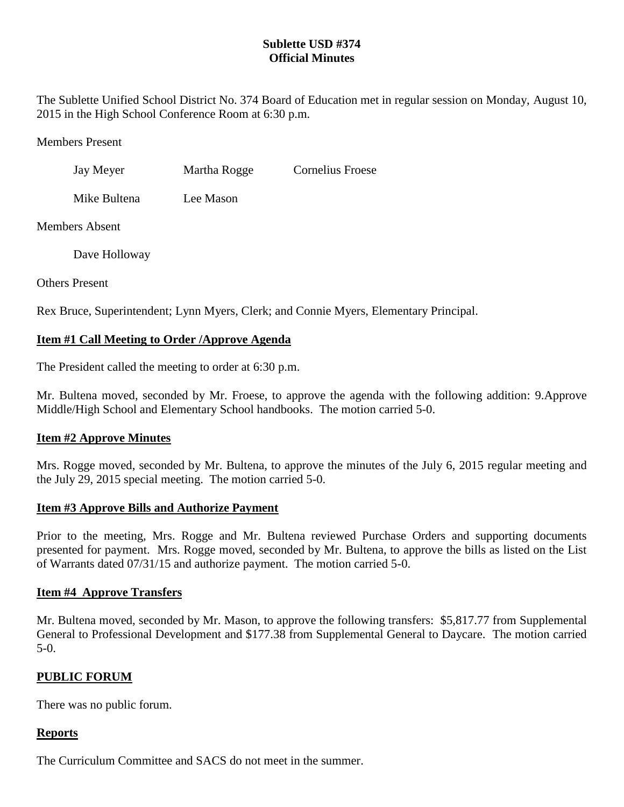## **Sublette USD #374 Official Minutes**

The Sublette Unified School District No. 374 Board of Education met in regular session on Monday, August 10, 2015 in the High School Conference Room at 6:30 p.m.

Members Present

Jay Meyer Martha Rogge Cornelius Froese

Mike Bultena Lee Mason

Members Absent

Dave Holloway

Others Present

Rex Bruce, Superintendent; Lynn Myers, Clerk; and Connie Myers, Elementary Principal.

# **Item #1 Call Meeting to Order /Approve Agenda**

The President called the meeting to order at 6:30 p.m.

Mr. Bultena moved, seconded by Mr. Froese, to approve the agenda with the following addition: 9.Approve Middle/High School and Elementary School handbooks. The motion carried 5-0.

# **Item #2 Approve Minutes**

Mrs. Rogge moved, seconded by Mr. Bultena, to approve the minutes of the July 6, 2015 regular meeting and the July 29, 2015 special meeting. The motion carried 5-0.

## **Item #3 Approve Bills and Authorize Payment**

Prior to the meeting, Mrs. Rogge and Mr. Bultena reviewed Purchase Orders and supporting documents presented for payment. Mrs. Rogge moved, seconded by Mr. Bultena, to approve the bills as listed on the List of Warrants dated 07/31/15 and authorize payment. The motion carried 5-0.

# **Item #4 Approve Transfers**

Mr. Bultena moved, seconded by Mr. Mason, to approve the following transfers: \$5,817.77 from Supplemental General to Professional Development and \$177.38 from Supplemental General to Daycare. The motion carried 5-0.

# **PUBLIC FORUM**

There was no public forum.

## **Reports**

The Curriculum Committee and SACS do not meet in the summer.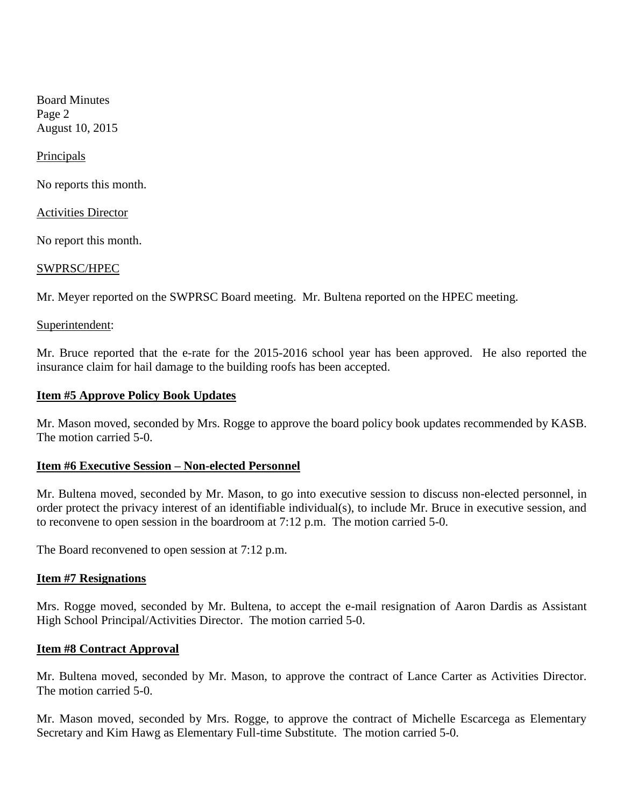Board Minutes Page 2 August 10, 2015

**Principals** 

No reports this month.

Activities Director

No report this month.

#### SWPRSC/HPEC

Mr. Meyer reported on the SWPRSC Board meeting. Mr. Bultena reported on the HPEC meeting.

#### Superintendent:

Mr. Bruce reported that the e-rate for the 2015-2016 school year has been approved. He also reported the insurance claim for hail damage to the building roofs has been accepted.

#### **Item #5 Approve Policy Book Updates**

Mr. Mason moved, seconded by Mrs. Rogge to approve the board policy book updates recommended by KASB. The motion carried 5-0.

### **Item #6 Executive Session – Non-elected Personnel**

Mr. Bultena moved, seconded by Mr. Mason, to go into executive session to discuss non-elected personnel, in order protect the privacy interest of an identifiable individual(s), to include Mr. Bruce in executive session, and to reconvene to open session in the boardroom at 7:12 p.m. The motion carried 5-0.

The Board reconvened to open session at 7:12 p.m.

#### **Item #7 Resignations**

Mrs. Rogge moved, seconded by Mr. Bultena, to accept the e-mail resignation of Aaron Dardis as Assistant High School Principal/Activities Director. The motion carried 5-0.

### **Item #8 Contract Approval**

Mr. Bultena moved, seconded by Mr. Mason, to approve the contract of Lance Carter as Activities Director. The motion carried 5-0.

Mr. Mason moved, seconded by Mrs. Rogge, to approve the contract of Michelle Escarcega as Elementary Secretary and Kim Hawg as Elementary Full-time Substitute. The motion carried 5-0.